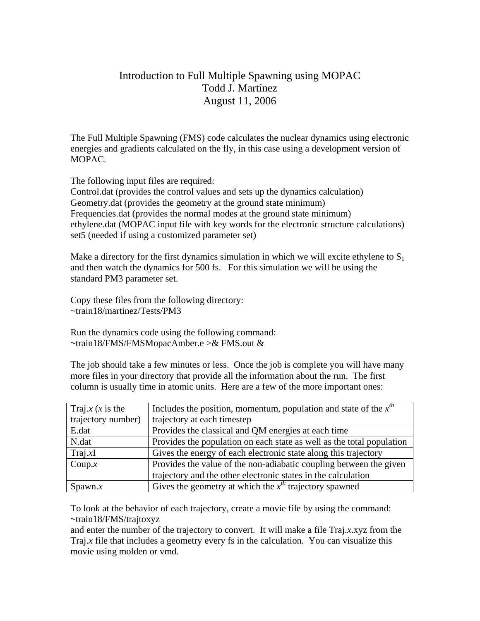## Introduction to Full Multiple Spawning using MOPAC Todd J. Martínez August 11, 2006

The Full Multiple Spawning (FMS) code calculates the nuclear dynamics using electronic energies and gradients calculated on the fly, in this case using a development version of MOPAC.

The following input files are required:

Control.dat (provides the control values and sets up the dynamics calculation) Geometry.dat (provides the geometry at the ground state minimum) Frequencies.dat (provides the normal modes at the ground state minimum) ethylene.dat (MOPAC input file with key words for the electronic structure calculations) set5 (needed if using a customized parameter set)

Make a directory for the first dynamics simulation in which we will excite ethylene to  $S_1$ and then watch the dynamics for 500 fs. For this simulation we will be using the standard PM3 parameter set.

Copy these files from the following directory: ~train18/martinez/Tests/PM3

Run the dynamics code using the following command: ~train18/FMS/FMSMopacAmber.e >& FMS.out &

The job should take a few minutes or less. Once the job is complete you will have many more files in your directory that provide all the information about the run. The first column is usually time in atomic units. Here are a few of the more important ones:

| Traj.x $(x \text{ is the})$ | Includes the position, momentum, population and state of the $xth$    |
|-----------------------------|-----------------------------------------------------------------------|
| trajectory number)          | trajectory at each timestep                                           |
| E.dat                       | Provides the classical and QM energies at each time                   |
| N.dat                       | Provides the population on each state as well as the total population |
| Traj.xI                     | Gives the energy of each electronic state along this trajectory       |
| Coup. $x$                   | Provides the value of the non-adiabatic coupling between the given    |
|                             | trajectory and the other electronic states in the calculation         |
| $S$ pawn. $x$               | Gives the geometry at which the $xth$ trajectory spawned              |

To look at the behavior of each trajectory, create a movie file by using the command: ~train18/FMS/trajtoxyz

and enter the number of the trajectory to convert. It will make a file Traj.*x*.xyz from the Traj.*x* file that includes a geometry every fs in the calculation. You can visualize this movie using molden or vmd.